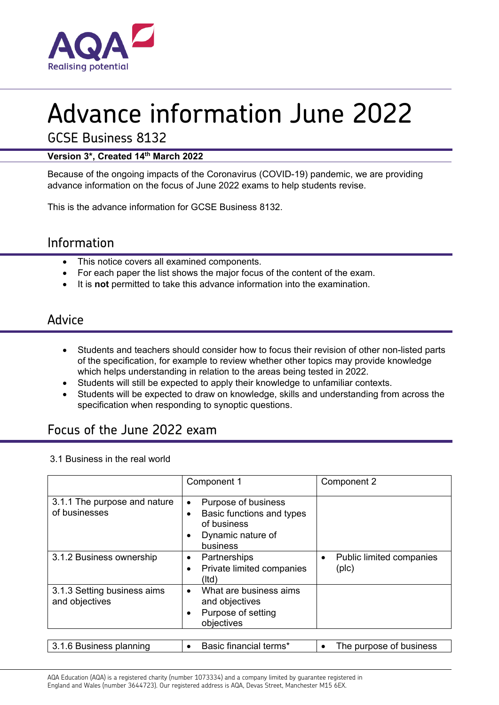

# Advance information June 2022

GCSE Business 8132

#### **Version 3\*, Created 14th March 2022**

Because of the ongoing impacts of the Coronavirus (COVID-19) pandemic, we are providing advance information on the focus of June 2022 exams to help students revise.

This is the advance information for GCSE Business 8132.

# Information

- This notice covers all examined components.
- For each paper the list shows the major focus of the content of the exam.
- It is **not** permitted to take this advance information into the examination.

# Advice

- Students and teachers should consider how to focus their revision of other non-listed parts of the specification, for example to review whether other topics may provide knowledge which helps understanding in relation to the areas being tested in 2022.
- Students will still be expected to apply their knowledge to unfamiliar contexts.
- Students will be expected to draw on knowledge, skills and understanding from across the specification when responding to synoptic questions.

# Focus of the June 2022 exam

#### 3.1 Business in the real world

|                                               | Component 1                                                                                                   | Component 2                       |
|-----------------------------------------------|---------------------------------------------------------------------------------------------------------------|-----------------------------------|
| 3.1.1 The purpose and nature<br>of businesses | Purpose of business<br>$\bullet$<br>Basic functions and types<br>of business<br>Dynamic nature of<br>business |                                   |
| 3.1.2 Business ownership                      | Partnerships<br>٠<br>Private limited companies<br>(Itd)                                                       | Public limited companies<br>(plc) |
| 3.1.3 Setting business aims<br>and objectives | What are business aims<br>$\bullet$<br>and objectives<br>Purpose of setting<br>٠<br>objectives                |                                   |
| 3.1.6 Business planning                       | Basic financial terms*                                                                                        | The purpose of business           |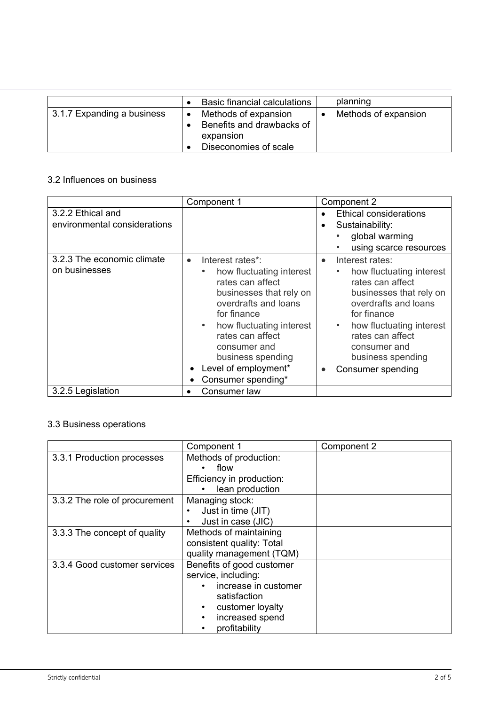|                            | Basic financial calculations                                                            | planning             |
|----------------------------|-----------------------------------------------------------------------------------------|----------------------|
| 3.1.7 Expanding a business | Methods of expansion<br>Benefits and drawbacks of<br>expansion<br>Diseconomies of scale | Methods of expansion |

#### 3.2 Influences on business

|                                                   | Component 1                                                                                                                                                                                                                                                                                     | Component 2                                                                                                                                                                                                                                      |
|---------------------------------------------------|-------------------------------------------------------------------------------------------------------------------------------------------------------------------------------------------------------------------------------------------------------------------------------------------------|--------------------------------------------------------------------------------------------------------------------------------------------------------------------------------------------------------------------------------------------------|
| 3.2.2 Ethical and<br>environmental considerations |                                                                                                                                                                                                                                                                                                 | Ethical considerations<br>Sustainability:<br>global warming<br>using scarce resources                                                                                                                                                            |
| 3.2.3 The economic climate<br>on businesses       | Interest rates*:<br>$\bullet$<br>how fluctuating interest<br>rates can affect<br>businesses that rely on<br>overdrafts and loans<br>for finance<br>how fluctuating interest<br>$\bullet$<br>rates can affect<br>consumer and<br>business spending<br>Level of employment*<br>Consumer spending* | Interest rates:<br>how fluctuating interest<br>rates can affect<br>businesses that rely on<br>overdrafts and loans<br>for finance<br>how fluctuating interest<br>٠<br>rates can affect<br>consumer and<br>business spending<br>Consumer spending |
| 3.2.5 Legislation                                 | Consumer law                                                                                                                                                                                                                                                                                    |                                                                                                                                                                                                                                                  |

#### 3.3 Business operations

|                               | Component 1               | Component 2 |
|-------------------------------|---------------------------|-------------|
| 3.3.1 Production processes    | Methods of production:    |             |
|                               | flow                      |             |
|                               | Efficiency in production: |             |
|                               | lean production           |             |
| 3.3.2 The role of procurement | Managing stock:           |             |
|                               | Just in time (JIT)        |             |
|                               | Just in case (JIC)        |             |
| 3.3.3 The concept of quality  | Methods of maintaining    |             |
|                               | consistent quality: Total |             |
|                               | quality management (TQM)  |             |
| 3.3.4 Good customer services  | Benefits of good customer |             |
|                               | service, including:       |             |
|                               | increase in customer      |             |
|                               | satisfaction              |             |
|                               | customer loyalty          |             |
|                               | increased spend           |             |
|                               | profitability             |             |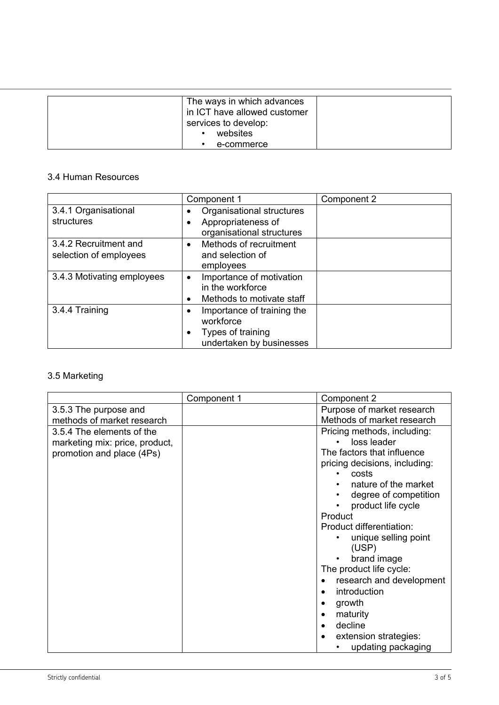| The ways in which advances<br>in ICT have allowed customer<br>services to develop:<br>websites |  |
|------------------------------------------------------------------------------------------------|--|
| e-commerce                                                                                     |  |

#### 3.4 Human Resources

|                            | Component 1                                     | Component 2 |
|----------------------------|-------------------------------------------------|-------------|
| 3.4.1 Organisational       | Organisational structures                       |             |
| structures                 | Appropriateness of<br>organisational structures |             |
| 3.4.2 Recruitment and      | Methods of recruitment<br>$\bullet$             |             |
| selection of employees     | and selection of                                |             |
|                            | employees                                       |             |
| 3.4.3 Motivating employees | Importance of motivation<br>$\bullet$           |             |
|                            | in the workforce                                |             |
|                            | Methods to motivate staff                       |             |
| 3.4.4 Training             | Importance of training the                      |             |
|                            | workforce                                       |             |
|                            | Types of training                               |             |
|                            | undertaken by businesses                        |             |

# 3.5 Marketing

|                                                                                          | Component 1 | Component 2                                                                                                                                                                                                                                                                                                                                                                                                                             |
|------------------------------------------------------------------------------------------|-------------|-----------------------------------------------------------------------------------------------------------------------------------------------------------------------------------------------------------------------------------------------------------------------------------------------------------------------------------------------------------------------------------------------------------------------------------------|
| 3.5.3 The purpose and                                                                    |             | Purpose of market research                                                                                                                                                                                                                                                                                                                                                                                                              |
| methods of market research                                                               |             | Methods of market research                                                                                                                                                                                                                                                                                                                                                                                                              |
| 3.5.4 The elements of the<br>marketing mix: price, product,<br>promotion and place (4Ps) |             | Pricing methods, including:<br>loss leader<br>The factors that influence<br>pricing decisions, including:<br>costs<br>nature of the market<br>degree of competition<br>product life cycle<br>Product<br>Product differentiation:<br>unique selling point<br>(USP)<br>brand image<br>The product life cycle:<br>research and development<br>introduction<br>growth<br>maturity<br>decline<br>extension strategies:<br>updating packaging |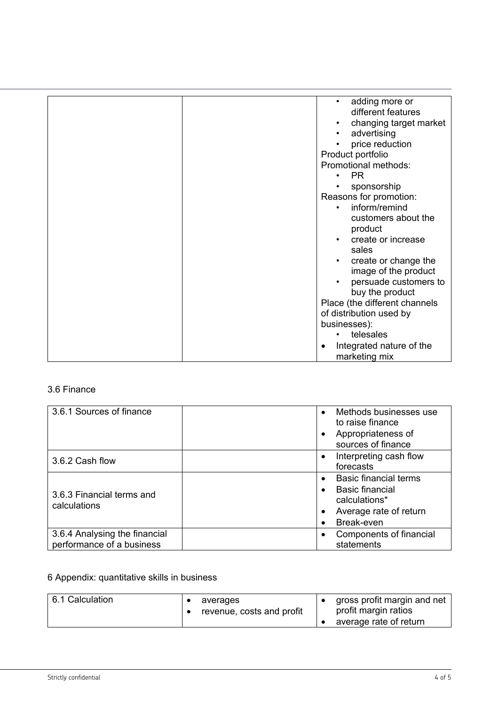| adding more or<br>$\bullet$           |
|---------------------------------------|
| different features                    |
| changing target market                |
| advertising                           |
| price reduction                       |
| Product portfolio                     |
| Promotional methods:                  |
| PR.<br>$\bullet$                      |
| sponsorship                           |
| Reasons for promotion:                |
| inform/remind                         |
|                                       |
| customers about the                   |
| product                               |
| create or increase                    |
| sales                                 |
| create or change the<br>$\bullet$     |
| image of the product                  |
| persuade customers to                 |
| buy the product                       |
| Place (the different channels         |
| of distribution used by               |
| businesses):                          |
| telesales                             |
| Integrated nature of the<br>$\bullet$ |
| marketing mix                         |

#### 3.6 Finance

| 3.6.1 Sources of finance                                   | Methods businesses use<br>to raise finance<br>Appropriateness of<br>sources of finance                   |
|------------------------------------------------------------|----------------------------------------------------------------------------------------------------------|
| 3.6.2 Cash flow                                            | Interpreting cash flow<br>forecasts                                                                      |
| 3.6.3 Financial terms and<br>calculations                  | <b>Basic financial terms</b><br>Basic financial<br>calculations*<br>Average rate of return<br>Break-even |
| 3.6.4 Analysing the financial<br>performance of a business | Components of financial<br>statements                                                                    |

# 6 Appendix: quantitative skills in business